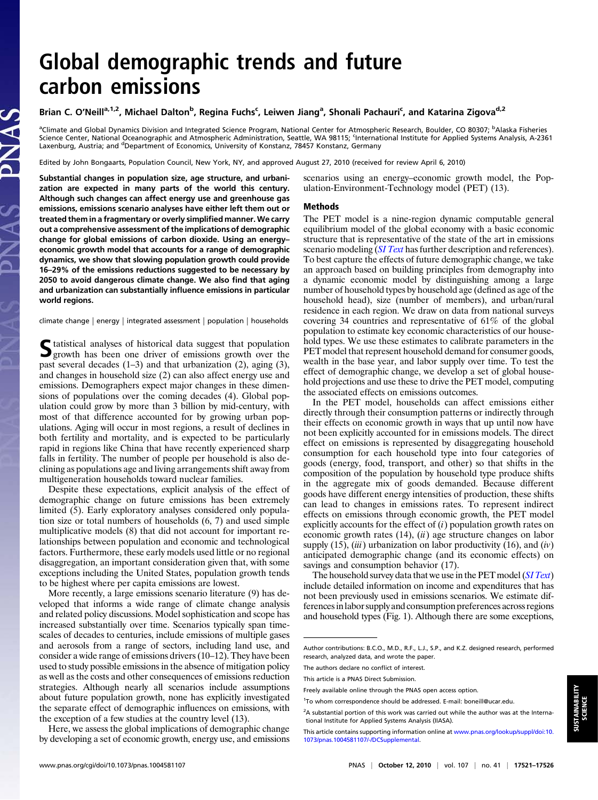# Global demographic trends and future carbon emissions

## Brian C. O'Neill<sup>a,1,2</sup>, Michael Dalton<sup>b</sup>, Regina Fuchs<sup>c</sup>, Leiwen Jiang<sup>a</sup>, Shonali Pachauri<sup>c</sup>, and Katarina Zigova<sup>d,2</sup>

<sup>a</sup>Climate and Global Dynamics Division and Integrated Science Program, National Center for Atmospheric Research, Boulder, CO 80307; <sup>b</sup>Alaska Fisheries Science Center, National Oceanographic and Atmospheric Administration, Seattle, WA 98115; <sup>c</sup>international Institute for Applied Systems Analysis, A-2361 Laxenburg, Austria; and <sup>d</sup>Department of Economics, University of Konstanz, 78457 Konstanz, Germany

Edited by John Bongaarts, Population Council, New York, NY, and approved August 27, 2010 (received for review April 6, 2010)

Substantial changes in population size, age structure, and urbanization are expected in many parts of the world this century. Although such changes can affect energy use and greenhouse gas emissions, emissions scenario analyses have either left them out or treated them in a fragmentary or overly simplified manner. We carry out a comprehensive assessment of the implications of demographic change for global emissions of carbon dioxide. Using an energy– economic growth model that accounts for a range of demographic dynamics, we show that slowing population growth could provide 16–29% of the emissions reductions suggested to be necessary by 2050 to avoid dangerous climate change. We also find that aging and urbanization can substantially influence emissions in particular world regions.

climate change | energy | integrated assessment | population | households

Statistical analyses of historical data suggest that population<br>growth has been one driver of emissions growth over the past several decades (1–3) and that urbanization (2), aging (3), and changes in household size (2) can also affect energy use and emissions. Demographers expect major changes in these dimensions of populations over the coming decades (4). Global population could grow by more than 3 billion by mid-century, with most of that difference accounted for by growing urban populations. Aging will occur in most regions, a result of declines in both fertility and mortality, and is expected to be particularly rapid in regions like China that have recently experienced sharp falls in fertility. The number of people per household is also declining as populations age and living arrangements shift away from multigeneration households toward nuclear families.

Despite these expectations, explicit analysis of the effect of demographic change on future emissions has been extremely limited (5). Early exploratory analyses considered only population size or total numbers of households (6, 7) and used simple multiplicative models (8) that did not account for important relationships between population and economic and technological factors. Furthermore, these early models used little or no regional disaggregation, an important consideration given that, with some exceptions including the United States, population growth tends to be highest where per capita emissions are lowest.

More recently, a large emissions scenario literature (9) has developed that informs a wide range of climate change analysis and related policy discussions. Model sophistication and scope has increased substantially over time. Scenarios typically span timescales of decades to centuries, include emissions of multiple gases and aerosols from a range of sectors, including land use, and consider a wide range of emissions drivers (10–12). They have been used to study possible emissions in the absence of mitigation policy as well as the costs and other consequences of emissions reduction strategies. Although nearly all scenarios include assumptions about future population growth, none has explicitly investigated the separate effect of demographic influences on emissions, with the exception of a few studies at the country level (13).

Here, we assess the global implications of demographic change by developing a set of economic growth, energy use, and emissions scenarios using an energy–economic growth model, the Population-Environment-Technology model (PET) (13).

#### Methods

The PET model is a nine-region dynamic computable general equilibrium model of the global economy with a basic economic structure that is representative of the state of the art in emissions scenario modeling (*[SI Text](http://www.pnas.org/lookup/suppl/doi:10.1073/pnas.1004581107/-/DCSupplemental/pnas.201004581SI.pdf?targetid=nameddest=STXT)* has further description and references). To best capture the effects of future demographic change, we take an approach based on building principles from demography into a dynamic economic model by distinguishing among a large number of household types by household age (defined as age of the household head), size (number of members), and urban/rural residence in each region. We draw on data from national surveys covering 34 countries and representative of 61% of the global population to estimate key economic characteristics of our household types. We use these estimates to calibrate parameters in the PET model that represent household demand for consumer goods, wealth in the base year, and labor supply over time. To test the effect of demographic change, we develop a set of global household projections and use these to drive the PET model, computing the associated effects on emissions outcomes.

In the PET model, households can affect emissions either directly through their consumption patterns or indirectly through their effects on economic growth in ways that up until now have not been explicitly accounted for in emissions models. The direct effect on emissions is represented by disaggregating household consumption for each household type into four categories of goods (energy, food, transport, and other) so that shifts in the composition of the population by household type produce shifts in the aggregate mix of goods demanded. Because different goods have different energy intensities of production, these shifts can lead to changes in emissions rates. To represent indirect effects on emissions through economic growth, the PET model explicitly accounts for the effect of  $(i)$  population growth rates on economic growth rates  $(14)$ ,  $(ii)$  age structure changes on labor supply (15), (*iii*) urbanization on labor productivity (16), and  $(iv)$ anticipated demographic change (and its economic effects) on savings and consumption behavior (17).

The household survey data that we use in the PET model (*[SI Text](http://www.pnas.org/lookup/suppl/doi:10.1073/pnas.1004581107/-/DCSupplemental/pnas.201004581SI.pdf?targetid=nameddest=STXT)*) include detailed information on income and expenditures that has not been previously used in emissions scenarios. We estimate differences inlabor supply and consumption preferences across regions and household types (Fig. 1). Although there are some exceptions,

Author contributions: B.C.O., M.D., R.F., L.J., S.P., and K.Z. designed research, performed research, analyzed data, and wrote the paper.

The authors declare no conflict of interest.

This article is a PNAS Direct Submission.

Freely available online through the PNAS open access option.

<sup>&</sup>lt;sup>1</sup>To whom correspondence should be addressed. E-mail: [boneill@ucar.edu.](mailto:boneill@ucar.edu)

 $2A$  substantial portion of this work was carried out while the author was at the International Institute for Applied Systems Analysis (IIASA).

This article contains supporting information online at [www.pnas.org/lookup/suppl/doi:10.](http://www.pnas.org/lookup/suppl/doi:10.1073/pnas.1004581107/-/DCSupplemental) [1073/pnas.1004581107/-/DCSupplemental](http://www.pnas.org/lookup/suppl/doi:10.1073/pnas.1004581107/-/DCSupplemental).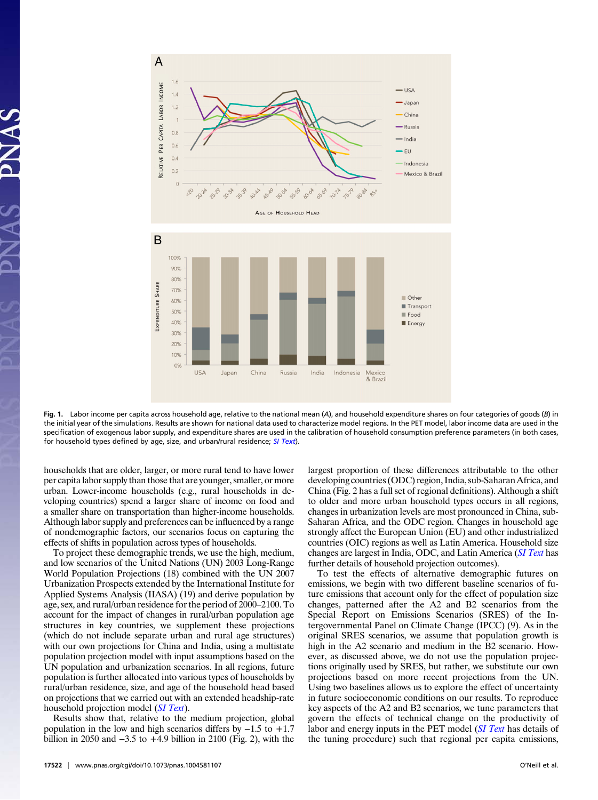

Fig. 1. Labor income per capita across household age, relative to the national mean (A), and household expenditure shares on four categories of goods (B) in the initial year of the simulations. Results are shown for national data used to characterize model regions. In the PET model, labor income data are used in the specification of exogenous labor supply, and expenditure shares are used in the calibration of household consumption preference parameters (in both cases, for household types defined by age, size, and urban/rural residence; [SI Text](http://www.pnas.org/lookup/suppl/doi:10.1073/pnas.1004581107/-/DCSupplemental/pnas.201004581SI.pdf?targetid=nameddest=STXT)).

households that are older, larger, or more rural tend to have lower per capita labor supply than those that are younger, smaller, or more urban. Lower-income households (e.g., rural households in developing countries) spend a larger share of income on food and a smaller share on transportation than higher-income households. Although labor supply and preferences can be influenced by a range of nondemographic factors, our scenarios focus on capturing the effects of shifts in population across types of households.

To project these demographic trends, we use the high, medium, and low scenarios of the United Nations (UN) 2003 Long-Range World Population Projections (18) combined with the UN 2007 Urbanization Prospects extended by the International Institute for Applied Systems Analysis (IIASA) (19) and derive population by age, sex, and rural/urban residence for the period of 2000–2100. To account for the impact of changes in rural/urban population age structures in key countries, we supplement these projections (which do not include separate urban and rural age structures) with our own projections for China and India, using a multistate population projection model with input assumptions based on the UN population and urbanization scenarios. In all regions, future population is further allocated into various types of households by rural/urban residence, size, and age of the household head based on projections that we carried out with an extended headship-rate household projection model (*[SI Text](http://www.pnas.org/lookup/suppl/doi:10.1073/pnas.1004581107/-/DCSupplemental/pnas.201004581SI.pdf?targetid=nameddest=STXT)*).

Results show that, relative to the medium projection, global population in the low and high scenarios differs by −1.5 to +1.7 billion in 2050 and −3.5 to +4.9 billion in 2100 (Fig. 2), with the

17522 <sup>|</sup> <www.pnas.org/cgi/doi/10.1073/pnas.1004581107> O'Neill et al.

largest proportion of these differences attributable to the other developing countries (ODC) region, India, sub-Saharan Africa, and China (Fig. 2 has a full set of regional definitions). Although a shift to older and more urban household types occurs in all regions, changes in urbanization levels are most pronounced in China, sub-Saharan Africa, and the ODC region. Changes in household age strongly affect the European Union (EU) and other industrialized countries (OIC) regions as well as Latin America. Household size changes are largest in India, ODC, and Latin America ([SI Text](http://www.pnas.org/lookup/suppl/doi:10.1073/pnas.1004581107/-/DCSupplemental/pnas.201004581SI.pdf?targetid=nameddest=STXT) has further details of household projection outcomes).

To test the effects of alternative demographic futures on emissions, we begin with two different baseline scenarios of future emissions that account only for the effect of population size changes, patterned after the A2 and B2 scenarios from the Special Report on Emissions Scenarios (SRES) of the Intergovernmental Panel on Climate Change (IPCC) (9). As in the original SRES scenarios, we assume that population growth is high in the A2 scenario and medium in the B2 scenario. However, as discussed above, we do not use the population projections originally used by SRES, but rather, we substitute our own projections based on more recent projections from the UN. Using two baselines allows us to explore the effect of uncertainty in future socioeconomic conditions on our results. To reproduce key aspects of the A2 and B2 scenarios, we tune parameters that govern the effects of technical change on the productivity of labor and energy inputs in the PET model ([SI Text](http://www.pnas.org/lookup/suppl/doi:10.1073/pnas.1004581107/-/DCSupplemental/pnas.201004581SI.pdf?targetid=nameddest=STXT) has details of the tuning procedure) such that regional per capita emissions,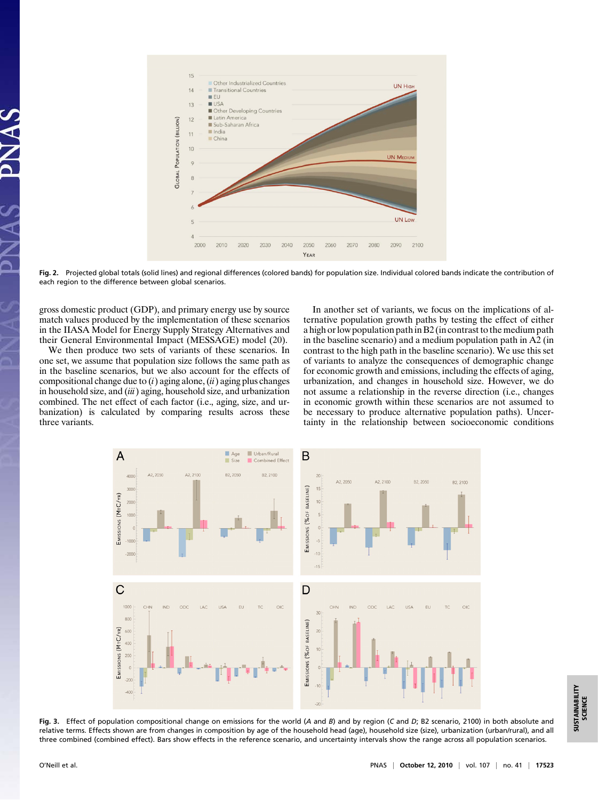

Fig. 2. Projected global totals (solid lines) and regional differences (colored bands) for population size. Individual colored bands indicate the contribution of each region to the difference between global scenarios.

gross domestic product (GDP), and primary energy use by source match values produced by the implementation of these scenarios in the IIASA Model for Energy Supply Strategy Alternatives and their General Environmental Impact (MESSAGE) model (20).

We then produce two sets of variants of these scenarios. In one set, we assume that population size follows the same path as in the baseline scenarios, but we also account for the effects of compositional change due to  $(i)$  aging alone,  $(ii)$  aging plus changes in household size, and  $(iii)$  aging, household size, and urbanization combined. The net effect of each factor (i.e., aging, size, and urbanization) is calculated by comparing results across these three variants.

In another set of variants, we focus on the implications of alternative population growth paths by testing the effect of either a high or low population path in B2 (in contrast to the medium path in the baseline scenario) and a medium population path in A2 (in contrast to the high path in the baseline scenario). We use this set of variants to analyze the consequences of demographic change for economic growth and emissions, including the effects of aging, urbanization, and changes in household size. However, we do not assume a relationship in the reverse direction (i.e., changes in economic growth within these scenarios are not assumed to be necessary to produce alternative population paths). Uncertainty in the relationship between socioeconomic conditions



Fig. 3. Effect of population compositional change on emissions for the world (A and B) and by region (C and D; B2 scenario, 2100) in both absolute and relative terms. Effects shown are from changes in composition by age of the household head (age), household size (size), urbanization (urban/rural), and all three combined (combined effect). Bars show effects in the reference scenario, and uncertainty intervals show the range across all population scenarios.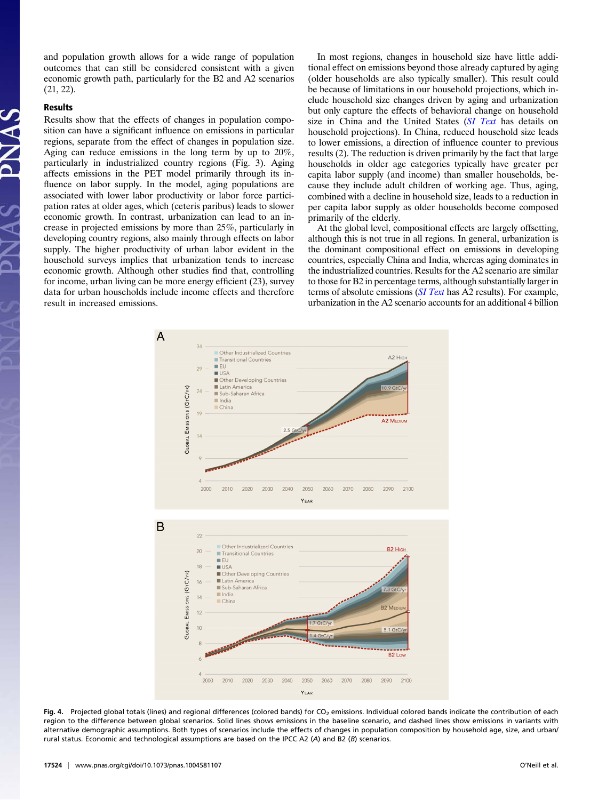and population growth allows for a wide range of population outcomes that can still be considered consistent with a given economic growth path, particularly for the B2 and A2 scenarios (21, 22).

### Results

Results show that the effects of changes in population composition can have a significant influence on emissions in particular regions, separate from the effect of changes in population size. Aging can reduce emissions in the long term by up to 20%, particularly in industrialized country regions (Fig. 3). Aging affects emissions in the PET model primarily through its influence on labor supply. In the model, aging populations are associated with lower labor productivity or labor force participation rates at older ages, which (ceteris paribus) leads to slower economic growth. In contrast, urbanization can lead to an increase in projected emissions by more than 25%, particularly in developing country regions, also mainly through effects on labor supply. The higher productivity of urban labor evident in the household surveys implies that urbanization tends to increase economic growth. Although other studies find that, controlling for income, urban living can be more energy efficient (23), survey data for urban households include income effects and therefore result in increased emissions.

In most regions, changes in household size have little additional effect on emissions beyond those already captured by aging (older households are also typically smaller). This result could be because of limitations in our household projections, which include household size changes driven by aging and urbanization but only capture the effects of behavioral change on household size in China and the United States ([SI Text](http://www.pnas.org/lookup/suppl/doi:10.1073/pnas.1004581107/-/DCSupplemental/pnas.201004581SI.pdf?targetid=nameddest=STXT) has details on household projections). In China, reduced household size leads to lower emissions, a direction of influence counter to previous results (2). The reduction is driven primarily by the fact that large households in older age categories typically have greater per capita labor supply (and income) than smaller households, because they include adult children of working age. Thus, aging, combined with a decline in household size, leads to a reduction in per capita labor supply as older households become composed primarily of the elderly.

At the global level, compositional effects are largely offsetting, although this is not true in all regions. In general, urbanization is the dominant compositional effect on emissions in developing countries, especially China and India, whereas aging dominates in the industrialized countries. Results for the A2 scenario are similar to those for B2 in percentage terms, although substantially larger in terms of absolute emissions ([SI Text](http://www.pnas.org/lookup/suppl/doi:10.1073/pnas.1004581107/-/DCSupplemental/pnas.201004581SI.pdf?targetid=nameddest=STXT) has A2 results). For example, urbanization in the A2 scenario accounts for an additional 4 billion



Fig. 4. Projected global totals (lines) and regional differences (colored bands) for CO<sub>2</sub> emissions. Individual colored bands indicate the contribution of each region to the difference between global scenarios. Solid lines shows emissions in the baseline scenario, and dashed lines show emissions in variants with alternative demographic assumptions. Both types of scenarios include the effects of changes in population composition by household age, size, and urban/ rural status. Economic and technological assumptions are based on the IPCC A2 (A) and B2 (B) scenarios.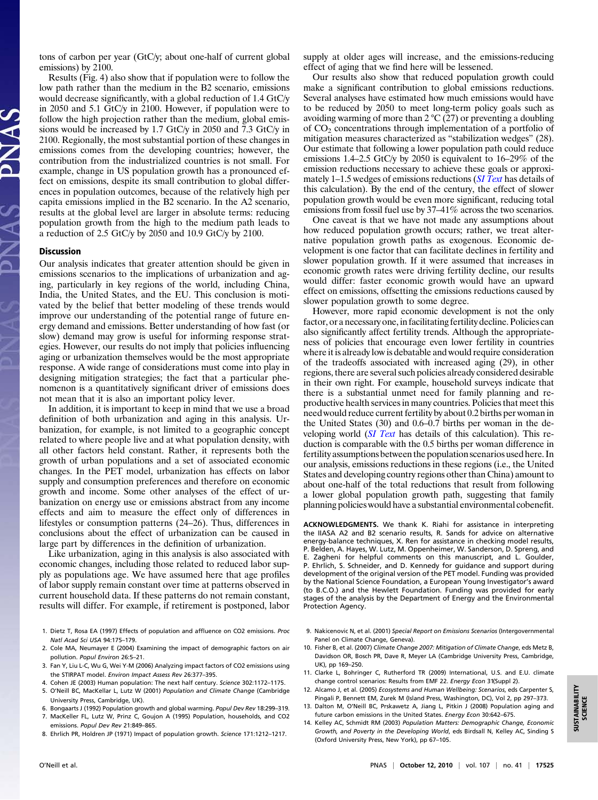tons of carbon per year (GtC/y; about one-half of current global emissions) by 2100.

Results (Fig. 4) also show that if population were to follow the low path rather than the medium in the B2 scenario, emissions would decrease significantly, with a global reduction of 1.4 GtC/y in 2050 and 5.1 GtC/y in 2100. However, if population were to follow the high projection rather than the medium, global emissions would be increased by 1.7 GtC/y in 2050 and 7.3 GtC/y in 2100. Regionally, the most substantial portion of these changes in emissions comes from the developing countries; however, the contribution from the industrialized countries is not small. For example, change in US population growth has a pronounced effect on emissions, despite its small contribution to global differences in population outcomes, because of the relatively high per capita emissions implied in the B2 scenario. In the A2 scenario, results at the global level are larger in absolute terms: reducing population growth from the high to the medium path leads to a reduction of 2.5 GtC/y by 2050 and 10.9 GtC/y by 2100.

#### **Discussion**

Our analysis indicates that greater attention should be given in emissions scenarios to the implications of urbanization and aging, particularly in key regions of the world, including China, India, the United States, and the EU. This conclusion is motivated by the belief that better modeling of these trends would improve our understanding of the potential range of future energy demand and emissions. Better understanding of how fast (or slow) demand may grow is useful for informing response strategies. However, our results do not imply that policies influencing aging or urbanization themselves would be the most appropriate response. A wide range of considerations must come into play in designing mitigation strategies; the fact that a particular phenomenon is a quantitatively significant driver of emissions does not mean that it is also an important policy lever.

In addition, it is important to keep in mind that we use a broad definition of both urbanization and aging in this analysis. Urbanization, for example, is not limited to a geographic concept related to where people live and at what population density, with all other factors held constant. Rather, it represents both the growth of urban populations and a set of associated economic changes. In the PET model, urbanization has effects on labor supply and consumption preferences and therefore on economic growth and income. Some other analyses of the effect of urbanization on energy use or emissions abstract from any income effects and aim to measure the effect only of differences in lifestyles or consumption patterns (24–26). Thus, differences in conclusions about the effect of urbanization can be caused in large part by differences in the definition of urbanization.

Like urbanization, aging in this analysis is also associated with economic changes, including those related to reduced labor supply as populations age. We have assumed here that age profiles of labor supply remain constant over time at patterns observed in current household data. If these patterns do not remain constant, results will differ. For example, if retirement is postponed, labor

- 1. Dietz T, Rosa EA (1997) Effects of population and affluence on CO2 emissions. Proc Natl Acad Sci USA 94:175–179.
- 2. Cole MA, Neumayer E (2004) Examining the impact of demographic factors on air pollution. Popul Environ 26:5–21.
- 3. Fan Y, Liu L-C, Wu G, Wei Y-M (2006) Analyzing impact factors of CO2 emissions using the STIRPAT model. Environ Impact Assess Rev 26:377–395.
- 4. Cohen JE (2003) Human population: The next half century. Science 302:1172–1175. 5. O'Neill BC, MacKellar L, Lutz W (2001) Population and Climate Change (Cambridge
- University Press, Cambridge, UK). 6. Bongaarts J (1992) Population growth and global warming. Popul Dev Rev 18:299–319.
- 7. MacKeller FL, Lutz W, Prinz C, Goujon A (1995) Population, households, and CO2 emissions. Popul Dev Rev 21:849–865.
- 8. Ehrlich PR, Holdren JP (1971) Impact of population growth. Science 171:1212–1217.

supply at older ages will increase, and the emissions-reducing effect of aging that we find here will be lessened.

Our results also show that reduced population growth could make a significant contribution to global emissions reductions. Several analyses have estimated how much emissions would have to be reduced by 2050 to meet long-term policy goals such as avoiding warming of more than  $2 \degree C (27)$  or preventing a doubling of CO2 concentrations through implementation of a portfolio of mitigation measures characterized as "stabilization wedges" (28). Our estimate that following a lower population path could reduce emissions 1.4–2.5 GtC/y by 2050 is equivalent to 16–29% of the emission reductions necessary to achieve these goals or approxi-mately 1-1.5 wedges of emissions reductions ([SI Text](http://www.pnas.org/lookup/suppl/doi:10.1073/pnas.1004581107/-/DCSupplemental/pnas.201004581SI.pdf?targetid=nameddest=STXT) has details of this calculation). By the end of the century, the effect of slower population growth would be even more significant, reducing total emissions from fossil fuel use by 37–41% across the two scenarios.

One caveat is that we have not made any assumptions about how reduced population growth occurs; rather, we treat alternative population growth paths as exogenous. Economic development is one factor that can facilitate declines in fertility and slower population growth. If it were assumed that increases in economic growth rates were driving fertility decline, our results would differ: faster economic growth would have an upward effect on emissions, offsetting the emissions reductions caused by slower population growth to some degree.

However, more rapid economic development is not the only factor, or a necessary one, in facilitating fertility decline. Policies can also significantly affect fertility trends. Although the appropriateness of policies that encourage even lower fertility in countries where it is already low is debatable and would require consideration of the tradeoffs associated with increased aging (29), in other regions, there are several such policies already considered desirable in their own right. For example, household surveys indicate that there is a substantial unmet need for family planning and reproductive health services in many countries. Policies that meet this need would reduce current fertility by about 0.2 births per woman in the United States (30) and 0.6–0.7 births per woman in the developing world *([SI Text](http://www.pnas.org/lookup/suppl/doi:10.1073/pnas.1004581107/-/DCSupplemental/pnas.201004581SI.pdf?targetid=nameddest=STXT)* has details of this calculation). This reduction is comparable with the 0.5 births per woman difference in fertility assumptions between the population scenarios used here. In our analysis, emissions reductions in these regions (i.e., the United States and developing country regions other than China) amount to about one-half of the total reductions that result from following a lower global population growth path, suggesting that family planning policies would have a substantial environmental cobenefit.

ACKNOWLEDGMENTS. We thank K. Riahi for assistance in interpreting the IIASA A2 and B2 scenario results, R. Sands for advice on alternative energy-balance techniques, X. Ren for assistance in checking model results, P. Belden, A. Hayes, W. Lutz, M. Oppenheimer, W. Sanderson, D. Spreng, and E. Zagheni for helpful comments on this manuscript, and L. Goulder, P. Ehrlich, S. Schneider, and D. Kennedy for guidance and support during development of the original version of the PET model. Funding was provided by the National Science Foundation, a European Young Investigator's award (to B.C.O.) and the Hewlett Foundation. Funding was provided for early stages of the analysis by the Department of Energy and the Environmental Protection Agency.

- 9. Nakicenovic N, et al. (2001) Special Report on Emissions Scenarios (Intergovernmental Panel on Climate Change, Geneva).
- 10. Fisher B, et al. (2007) Climate Change 2007: Mitigation of Climate Change, eds Metz B, Davidson OR, Bosch PR, Dave R, Meyer LA (Cambridge University Press, Cambridge, UK), pp 169–250.
- 11. Clarke L, Bohringer C, Rutherford TR (2009) International, U.S. and E.U. climate change control scenarios: Results from EMF 22. Energy Econ 31(Suppl 2).
- 12. Alcamo J, et al. (2005) Ecosystems and Human Wellbeing: Scenarios, eds Carpenter S, Pingali P, Bennett EM, Zurek M (Island Press, Washington, DC), Vol 2, pp 297–373.
- 13. Dalton M, O'Neill BC, Prskawetz A, Jiang L, Pitkin J (2008) Population aging and future carbon emissions in the United States. Energy Econ 30:642–675.
- 14. Kelley AC, Schmidt RM (2003) Population Matters: Demographic Change, Economic Growth, and Poverty in the Developing World, eds Birdsall N, Kelley AC, Sinding S (Oxford University Press, New York), pp 67–105.